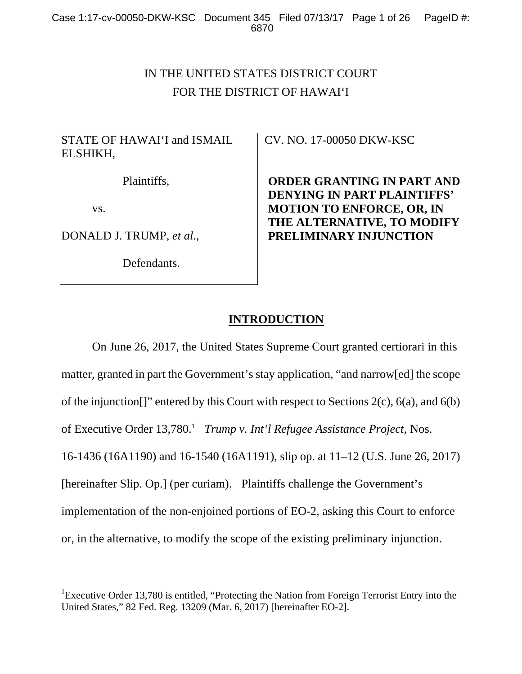# IN THE UNITED STATES DISTRICT COURT FOR THE DISTRICT OF HAWAI'I

# STATE OF HAWAI'I and ISMAIL ELSHIKH,

Plaintiffs,

vs.

 $\overline{a}$ 

DONALD J. TRUMP, *et al*.,

Defendants.

CV. NO. 17-00050 DKW-KSC

**ORDER GRANTING IN PART AND DENYING IN PART PLAINTIFFS' MOTION TO ENFORCE, OR, IN THE ALTERNATIVE, TO MODIFY PRELIMINARY INJUNCTION** 

# **INTRODUCTION**

 On June 26, 2017, the United States Supreme Court granted certiorari in this matter, granted in part the Government's stay application, "and narrow[ed] the scope of the injunction[]" entered by this Court with respect to Sections 2(c), 6(a), and 6(b) of Executive Order 13,780.<sup>1</sup> Trump v. Int'l Refugee Assistance Project, Nos. 16-1436 (16A1190) and 16-1540 (16A1191), slip op. at 11–12 (U.S. June 26, 2017) [hereinafter Slip. Op.] (per curiam). Plaintiffs challenge the Government's implementation of the non-enjoined portions of EO-2, asking this Court to enforce or, in the alternative, to modify the scope of the existing preliminary injunction.

<sup>&</sup>lt;sup>1</sup>Executive Order 13,780 is entitled, "Protecting the Nation from Foreign Terrorist Entry into the United States," 82 Fed. Reg. 13209 (Mar. 6, 2017) [hereinafter EO-2].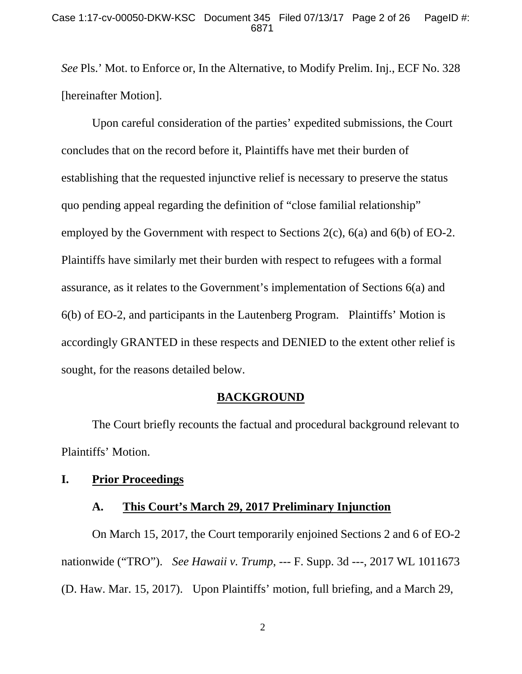*See* Pls.' Mot. to Enforce or, In the Alternative, to Modify Prelim. Inj., ECF No. 328 [hereinafter Motion].

 Upon careful consideration of the parties' expedited submissions, the Court concludes that on the record before it, Plaintiffs have met their burden of establishing that the requested injunctive relief is necessary to preserve the status quo pending appeal regarding the definition of "close familial relationship" employed by the Government with respect to Sections 2(c), 6(a) and 6(b) of EO-2. Plaintiffs have similarly met their burden with respect to refugees with a formal assurance, as it relates to the Government's implementation of Sections 6(a) and 6(b) of EO-2, and participants in the Lautenberg Program. Plaintiffs' Motion is accordingly GRANTED in these respects and DENIED to the extent other relief is sought, for the reasons detailed below.

### **BACKGROUND**

 The Court briefly recounts the factual and procedural background relevant to Plaintiffs' Motion.

## **I. Prior Proceedings**

### **A. This Court's March 29, 2017 Preliminary Injunction**

 On March 15, 2017, the Court temporarily enjoined Sections 2 and 6 of EO-2 nationwide ("TRO"). *See Hawaii v. Trump*, --- F. Supp. 3d ---, 2017 WL 1011673 (D. Haw. Mar. 15, 2017). Upon Plaintiffs' motion, full briefing, and a March 29,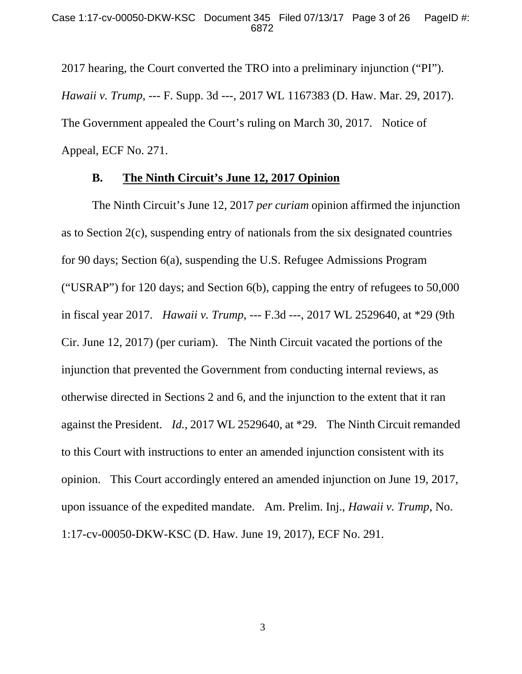2017 hearing, the Court converted the TRO into a preliminary injunction ("PI"). *Hawaii v. Trump*, --- F. Supp. 3d ---, 2017 WL 1167383 (D. Haw. Mar. 29, 2017). The Government appealed the Court's ruling on March 30, 2017. Notice of Appeal, ECF No. 271.

### **B. The Ninth Circuit's June 12, 2017 Opinion**

 The Ninth Circuit's June 12, 2017 *per curiam* opinion affirmed the injunction as to Section 2(c), suspending entry of nationals from the six designated countries for 90 days; Section 6(a), suspending the U.S. Refugee Admissions Program ("USRAP") for 120 days; and Section 6(b), capping the entry of refugees to 50,000 in fiscal year 2017. *Hawaii v. Trump*, --- F.3d ---, 2017 WL 2529640, at \*29 (9th Cir. June 12, 2017) (per curiam). The Ninth Circuit vacated the portions of the injunction that prevented the Government from conducting internal reviews, as otherwise directed in Sections 2 and 6, and the injunction to the extent that it ran against the President. *Id.*, 2017 WL 2529640, at \*29. The Ninth Circuit remanded to this Court with instructions to enter an amended injunction consistent with its opinion. This Court accordingly entered an amended injunction on June 19, 2017, upon issuance of the expedited mandate. Am. Prelim. Inj., *Hawaii v. Trump*, No. 1:17-cv-00050-DKW-KSC (D. Haw. June 19, 2017), ECF No. 291.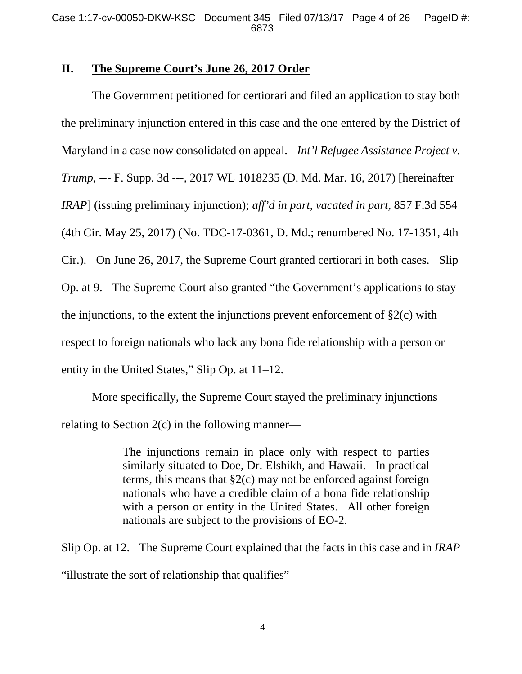## **II. The Supreme Court's June 26, 2017 Order**

 The Government petitioned for certiorari and filed an application to stay both the preliminary injunction entered in this case and the one entered by the District of Maryland in a case now consolidated on appeal. *Int'l Refugee Assistance Project v. Trump*, --- F. Supp. 3d ---, 2017 WL 1018235 (D. Md. Mar. 16, 2017) [hereinafter *IRAP*] (issuing preliminary injunction); *aff'd in part, vacated in part*, 857 F.3d 554 (4th Cir. May 25, 2017) (No. TDC-17-0361, D. Md.; renumbered No. 17-1351, 4th Cir.). On June 26, 2017, the Supreme Court granted certiorari in both cases. Slip Op. at 9. The Supreme Court also granted "the Government's applications to stay the injunctions, to the extent the injunctions prevent enforcement of  $\S2(c)$  with respect to foreign nationals who lack any bona fide relationship with a person or entity in the United States," Slip Op. at 11–12.

 More specifically, the Supreme Court stayed the preliminary injunctions relating to Section 2(c) in the following manner—

> The injunctions remain in place only with respect to parties similarly situated to Doe, Dr. Elshikh, and Hawaii. In practical terms, this means that  $\S2(c)$  may not be enforced against foreign nationals who have a credible claim of a bona fide relationship with a person or entity in the United States. All other foreign nationals are subject to the provisions of EO-2.

Slip Op. at 12. The Supreme Court explained that the facts in this case and in *IRAP* "illustrate the sort of relationship that qualifies"—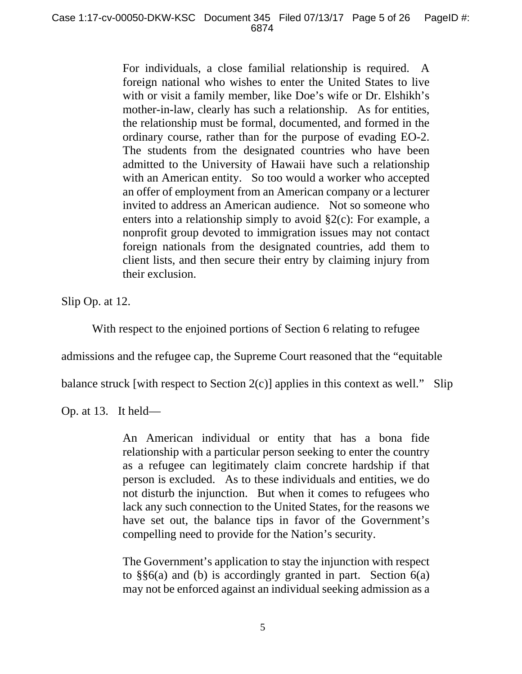For individuals, a close familial relationship is required. A foreign national who wishes to enter the United States to live with or visit a family member, like Doe's wife or Dr. Elshikh's mother-in-law, clearly has such a relationship. As for entities, the relationship must be formal, documented, and formed in the ordinary course, rather than for the purpose of evading EO-2. The students from the designated countries who have been admitted to the University of Hawaii have such a relationship with an American entity. So too would a worker who accepted an offer of employment from an American company or a lecturer invited to address an American audience. Not so someone who enters into a relationship simply to avoid §2(c): For example, a nonprofit group devoted to immigration issues may not contact foreign nationals from the designated countries, add them to client lists, and then secure their entry by claiming injury from their exclusion.

Slip Op. at 12.

With respect to the enjoined portions of Section 6 relating to refugee

admissions and the refugee cap, the Supreme Court reasoned that the "equitable

balance struck [with respect to Section 2(c)] applies in this context as well." Slip

Op. at 13. It held—

An American individual or entity that has a bona fide relationship with a particular person seeking to enter the country as a refugee can legitimately claim concrete hardship if that person is excluded. As to these individuals and entities, we do not disturb the injunction. But when it comes to refugees who lack any such connection to the United States, for the reasons we have set out, the balance tips in favor of the Government's compelling need to provide for the Nation's security.

The Government's application to stay the injunction with respect to §§6(a) and (b) is accordingly granted in part. Section 6(a) may not be enforced against an individual seeking admission as a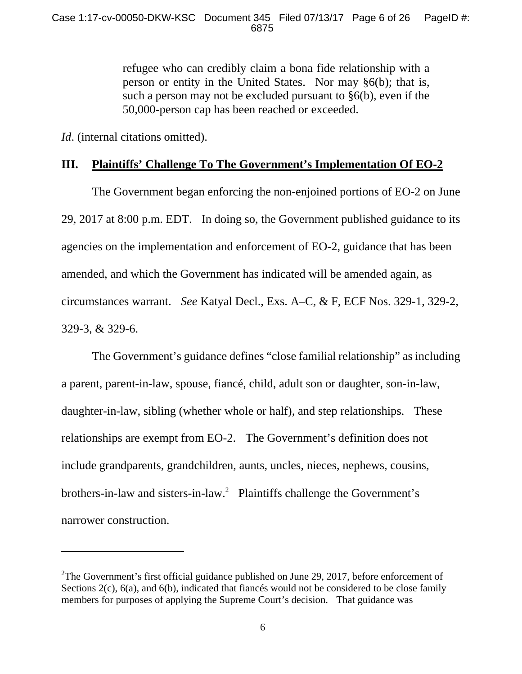refugee who can credibly claim a bona fide relationship with a person or entity in the United States. Nor may §6(b); that is, such a person may not be excluded pursuant to §6(b), even if the 50,000-person cap has been reached or exceeded.

*Id*. (internal citations omitted).

 $\overline{a}$ 

# **III. Plaintiffs' Challenge To The Government's Implementation Of EO-2**

 The Government began enforcing the non-enjoined portions of EO-2 on June 29, 2017 at 8:00 p.m. EDT. In doing so, the Government published guidance to its agencies on the implementation and enforcement of EO-2, guidance that has been amended, and which the Government has indicated will be amended again, as circumstances warrant. *See* Katyal Decl., Exs. A–C, & F, ECF Nos. 329-1, 329-2, 329-3, & 329-6.

 The Government's guidance defines "close familial relationship" as including a parent, parent-in-law, spouse, fiancé, child, adult son or daughter, son-in-law, daughter-in-law, sibling (whether whole or half), and step relationships. These relationships are exempt from EO-2. The Government's definition does not include grandparents, grandchildren, aunts, uncles, nieces, nephews, cousins, brothers-in-law and sisters-in-law.<sup>2</sup> Plaintiffs challenge the Government's narrower construction.

<sup>&</sup>lt;sup>2</sup>The Government's first official guidance published on June 29, 2017, before enforcement of Sections 2(c), 6(a), and 6(b), indicated that fiances would not be considered to be close family members for purposes of applying the Supreme Court's decision. That guidance was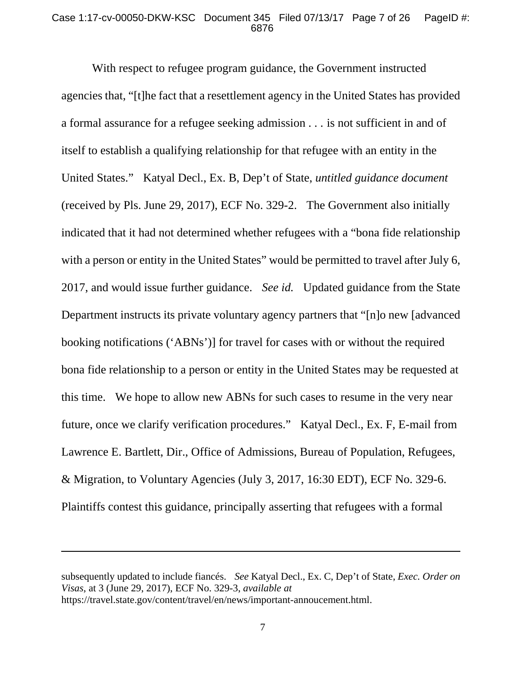#### Case 1:17-cv-00050-DKW-KSC Document 345 Filed 07/13/17 Page 7 of 26 PageID #: 6876

 With respect to refugee program guidance, the Government instructed agencies that, "[t]he fact that a resettlement agency in the United States has provided a formal assurance for a refugee seeking admission . . . is not sufficient in and of itself to establish a qualifying relationship for that refugee with an entity in the United States." Katyal Decl., Ex. B, Dep't of State, *untitled guidance document* (received by Pls. June 29, 2017), ECF No. 329-2. The Government also initially indicated that it had not determined whether refugees with a "bona fide relationship with a person or entity in the United States" would be permitted to travel after July 6, 2017, and would issue further guidance. *See id.* Updated guidance from the State Department instructs its private voluntary agency partners that "[n]o new [advanced booking notifications ('ABNs')] for travel for cases with or without the required bona fide relationship to a person or entity in the United States may be requested at this time. We hope to allow new ABNs for such cases to resume in the very near future, once we clarify verification procedures." Katyal Decl., Ex. F, E-mail from Lawrence E. Bartlett, Dir., Office of Admissions, Bureau of Population, Refugees, & Migration, to Voluntary Agencies (July 3, 2017, 16:30 EDT), ECF No. 329-6. Plaintiffs contest this guidance, principally asserting that refugees with a formal

-

subsequently updated to include fiancés. *See* Katyal Decl., Ex. C, Dep't of State, *Exec. Order on Visas*, at 3 (June 29, 2017), ECF No. 329-3, *available at*  https://travel.state.gov/content/travel/en/news/important-annoucement.html.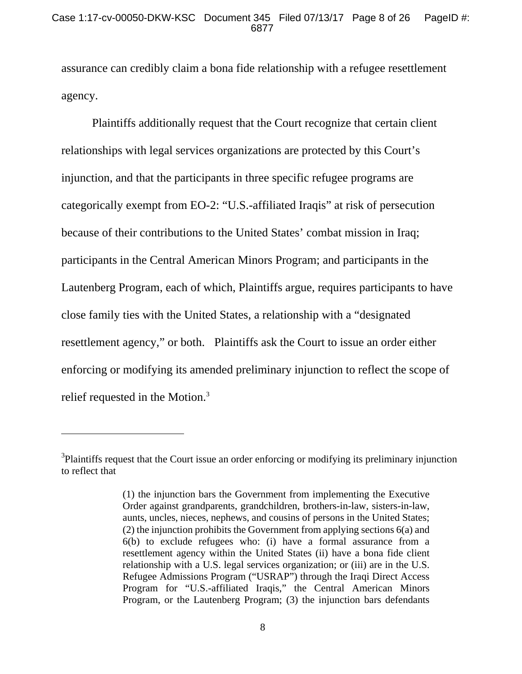assurance can credibly claim a bona fide relationship with a refugee resettlement agency.

 Plaintiffs additionally request that the Court recognize that certain client relationships with legal services organizations are protected by this Court's injunction, and that the participants in three specific refugee programs are categorically exempt from EO-2: "U.S.-affiliated Iraqis" at risk of persecution because of their contributions to the United States' combat mission in Iraq; participants in the Central American Minors Program; and participants in the Lautenberg Program, each of which, Plaintiffs argue, requires participants to have close family ties with the United States, a relationship with a "designated resettlement agency," or both. Plaintiffs ask the Court to issue an order either enforcing or modifying its amended preliminary injunction to reflect the scope of relief requested in the Motion.<sup>3</sup>

-

<sup>&</sup>lt;sup>3</sup>Plaintiffs request that the Court issue an order enforcing or modifying its preliminary injunction to reflect that

<sup>(1)</sup> the injunction bars the Government from implementing the Executive Order against grandparents, grandchildren, brothers-in-law, sisters-in-law, aunts, uncles, nieces, nephews, and cousins of persons in the United States; (2) the injunction prohibits the Government from applying sections 6(a) and 6(b) to exclude refugees who: (i) have a formal assurance from a resettlement agency within the United States (ii) have a bona fide client relationship with a U.S. legal services organization; or (iii) are in the U.S. Refugee Admissions Program ("USRAP") through the Iraqi Direct Access Program for "U.S.-affiliated Iraqis," the Central American Minors Program, or the Lautenberg Program; (3) the injunction bars defendants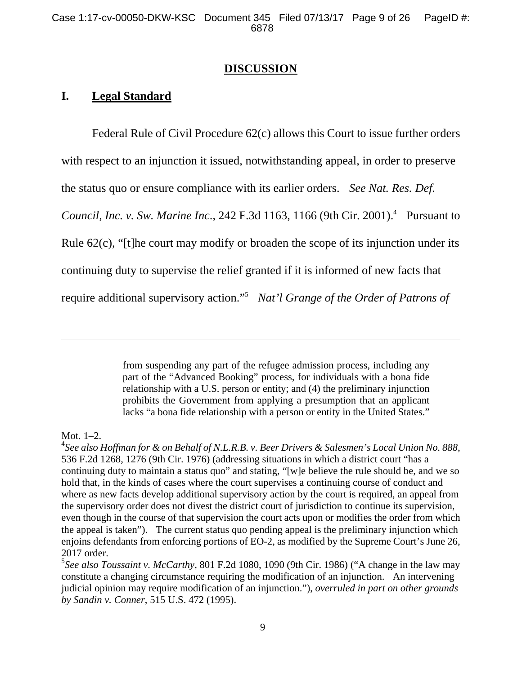### **DISCUSSION**

# **I. Legal Standard**

 Federal Rule of Civil Procedure 62(c) allows this Court to issue further orders with respect to an injunction it issued, notwithstanding appeal, in order to preserve the status quo or ensure compliance with its earlier orders. *See Nat. Res. Def. Council, Inc. v. Sw. Marine Inc.,* 242 F.3d 1163, 1166 (9th Cir. 2001).<sup>4</sup> Pursuant to Rule 62(c), "[t]he court may modify or broaden the scope of its injunction under its continuing duty to supervise the relief granted if it is informed of new facts that require additional supervisory action."5 *Nat'l Grange of the Order of Patrons of* 

> from suspending any part of the refugee admission process, including any part of the "Advanced Booking" process, for individuals with a bona fide relationship with a U.S. person or entity; and (4) the preliminary injunction prohibits the Government from applying a presumption that an applicant lacks "a bona fide relationship with a person or entity in the United States."

#### Mot. 1–2.

 $\overline{a}$ 

5 *See also Toussaint v. McCarthy*, 801 F.2d 1080, 1090 (9th Cir. 1986) ("A change in the law may constitute a changing circumstance requiring the modification of an injunction. An intervening judicial opinion may require modification of an injunction."), *overruled in part on other grounds by Sandin v. Conner*, 515 U.S. 472 (1995).

<sup>4</sup> *See also Hoffman for & on Behalf of N.L.R.B. v. Beer Drivers & Salesmen's Local Union No. 888*, 536 F.2d 1268, 1276 (9th Cir. 1976) (addressing situations in which a district court "has a continuing duty to maintain a status quo" and stating, "[w]e believe the rule should be, and we so hold that, in the kinds of cases where the court supervises a continuing course of conduct and where as new facts develop additional supervisory action by the court is required, an appeal from the supervisory order does not divest the district court of jurisdiction to continue its supervision, even though in the course of that supervision the court acts upon or modifies the order from which the appeal is taken"). The current status quo pending appeal is the preliminary injunction which enjoins defendants from enforcing portions of EO-2, as modified by the Supreme Court's June 26, 2017 order.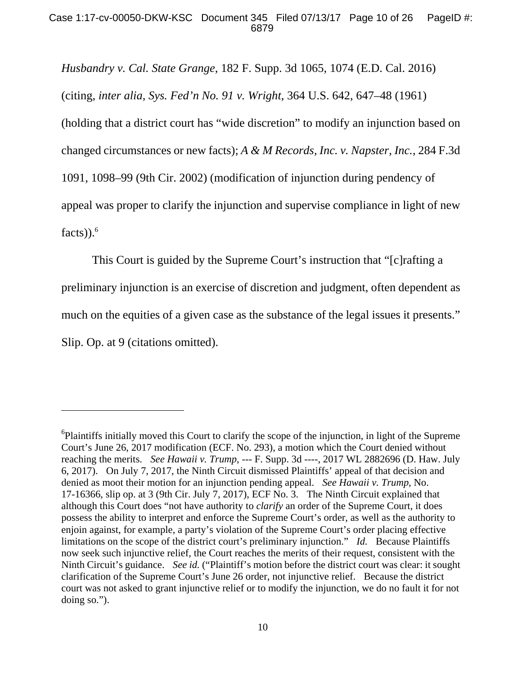*Husbandry v. Cal. State Grange*, 182 F. Supp. 3d 1065, 1074 (E.D. Cal. 2016) (citing, *inter alia*, *Sys. Fed'n No. 91 v. Wright*, 364 U.S. 642, 647–48 (1961) (holding that a district court has "wide discretion" to modify an injunction based on changed circumstances or new facts); *A & M Records, Inc. v. Napster, Inc.*, 284 F.3d 1091, 1098–99 (9th Cir. 2002) (modification of injunction during pendency of appeal was proper to clarify the injunction and supervise compliance in light of new  $facts)$ ).<sup>6</sup>

 This Court is guided by the Supreme Court's instruction that "[c]rafting a preliminary injunction is an exercise of discretion and judgment, often dependent as much on the equities of a given case as the substance of the legal issues it presents." Slip. Op. at 9 (citations omitted).

 $\overline{a}$ 

<sup>&</sup>lt;sup>6</sup>Plaintiffs initially moved this Court to clarify the scope of the injunction, in light of the Supreme Court's June 26, 2017 modification (ECF. No. 293), a motion which the Court denied without reaching the merits. *See Hawaii v. Trump*, --- F. Supp. 3d ----, 2017 WL 2882696 (D. Haw. July 6, 2017). On July 7, 2017, the Ninth Circuit dismissed Plaintiffs' appeal of that decision and denied as moot their motion for an injunction pending appeal. *See Hawaii v. Trump*, No. 17-16366, slip op. at 3 (9th Cir. July 7, 2017), ECF No. 3. The Ninth Circuit explained that although this Court does "not have authority to *clarify* an order of the Supreme Court, it does possess the ability to interpret and enforce the Supreme Court's order, as well as the authority to enjoin against, for example, a party's violation of the Supreme Court's order placing effective limitations on the scope of the district court's preliminary injunction." *Id.* Because Plaintiffs now seek such injunctive relief, the Court reaches the merits of their request, consistent with the Ninth Circuit's guidance. *See id.* ("Plaintiff's motion before the district court was clear: it sought clarification of the Supreme Court's June 26 order, not injunctive relief. Because the district court was not asked to grant injunctive relief or to modify the injunction, we do no fault it for not doing so.").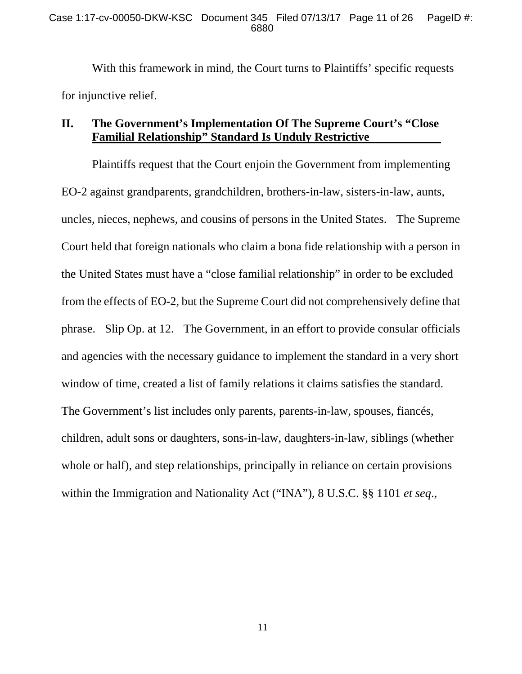With this framework in mind, the Court turns to Plaintiffs' specific requests for injunctive relief.

# **II. The Government's Implementation Of The Supreme Court's "Close Familial Relationship" Standard Is Unduly Restrictive**

 Plaintiffs request that the Court enjoin the Government from implementing EO-2 against grandparents, grandchildren, brothers-in-law, sisters-in-law, aunts, uncles, nieces, nephews, and cousins of persons in the United States. The Supreme Court held that foreign nationals who claim a bona fide relationship with a person in the United States must have a "close familial relationship" in order to be excluded from the effects of EO-2, but the Supreme Court did not comprehensively define that phrase. Slip Op. at 12. The Government, in an effort to provide consular officials and agencies with the necessary guidance to implement the standard in a very short window of time, created a list of family relations it claims satisfies the standard. The Government's list includes only parents, parents-in-law, spouses, fiancés, children, adult sons or daughters, sons-in-law, daughters-in-law, siblings (whether whole or half), and step relationships, principally in reliance on certain provisions within the Immigration and Nationality Act ("INA"), 8 U.S.C. §§ 1101 *et seq*.,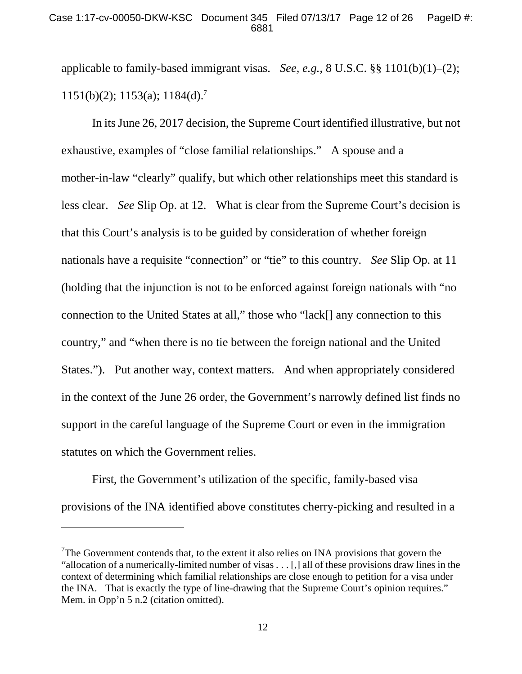applicable to family-based immigrant visas. *See, e.g.*, 8 U.S.C. §§ 1101(b)(1)–(2);  $1151(b)(2)$ ;  $1153(a)$ ;  $1184(d)$ .<sup>7</sup>

 In its June 26, 2017 decision, the Supreme Court identified illustrative, but not exhaustive, examples of "close familial relationships." A spouse and a mother-in-law "clearly" qualify, but which other relationships meet this standard is less clear. *See* Slip Op. at 12. What is clear from the Supreme Court's decision is that this Court's analysis is to be guided by consideration of whether foreign nationals have a requisite "connection" or "tie" to this country. *See* Slip Op. at 11 (holding that the injunction is not to be enforced against foreign nationals with "no connection to the United States at all," those who "lack[] any connection to this country," and "when there is no tie between the foreign national and the United States."). Put another way, context matters. And when appropriately considered in the context of the June 26 order, the Government's narrowly defined list finds no support in the careful language of the Supreme Court or even in the immigration statutes on which the Government relies.

 First, the Government's utilization of the specific, family-based visa provisions of the INA identified above constitutes cherry-picking and resulted in a

-

 $7$ The Government contends that, to the extent it also relies on INA provisions that govern the "allocation of a numerically-limited number of visas . . . [,] all of these provisions draw lines in the context of determining which familial relationships are close enough to petition for a visa under the INA. That is exactly the type of line-drawing that the Supreme Court's opinion requires." Mem. in Opp'n 5 n.2 (citation omitted).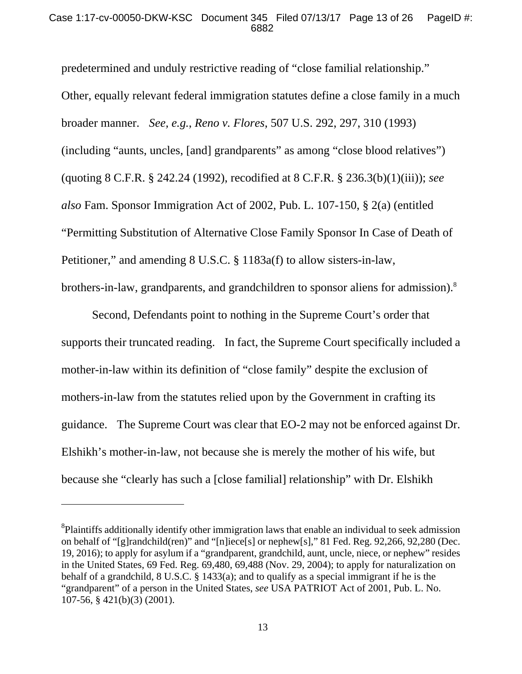predetermined and unduly restrictive reading of "close familial relationship." Other, equally relevant federal immigration statutes define a close family in a much broader manner. *See, e.g.*, *Reno v. Flores*, 507 U.S. 292, 297, 310 (1993) (including "aunts, uncles, [and] grandparents" as among "close blood relatives") (quoting 8 C.F.R. § 242.24 (1992), recodified at 8 C.F.R. § 236.3(b)(1)(iii)); *see also* Fam. Sponsor Immigration Act of 2002, Pub. L. 107-150, § 2(a) (entitled "Permitting Substitution of Alternative Close Family Sponsor In Case of Death of Petitioner," and amending 8 U.S.C. § 1183a(f) to allow sisters-in-law, brothers-in-law, grandparents, and grandchildren to sponsor aliens for admission).<sup>8</sup>

 Second, Defendants point to nothing in the Supreme Court's order that supports their truncated reading. In fact, the Supreme Court specifically included a mother-in-law within its definition of "close family" despite the exclusion of mothers-in-law from the statutes relied upon by the Government in crafting its guidance. The Supreme Court was clear that EO-2 may not be enforced against Dr. Elshikh's mother-in-law, not because she is merely the mother of his wife, but because she "clearly has such a [close familial] relationship" with Dr. Elshikh

 $\overline{a}$ 

 ${}^{8}$ Plaintiffs additionally identify other immigration laws that enable an individual to seek admission on behalf of "[g]randchild(ren)" and "[n]iece[s] or nephew[s]," 81 Fed. Reg. 92,266, 92,280 (Dec. 19, 2016); to apply for asylum if a "grandparent, grandchild, aunt, uncle, niece, or nephew" resides in the United States, 69 Fed. Reg. 69,480, 69,488 (Nov. 29, 2004); to apply for naturalization on behalf of a grandchild, 8 U.S.C. § 1433(a); and to qualify as a special immigrant if he is the "grandparent" of a person in the United States, *see* USA PATRIOT Act of 2001, Pub. L. No. 107-56, § 421(b)(3) (2001).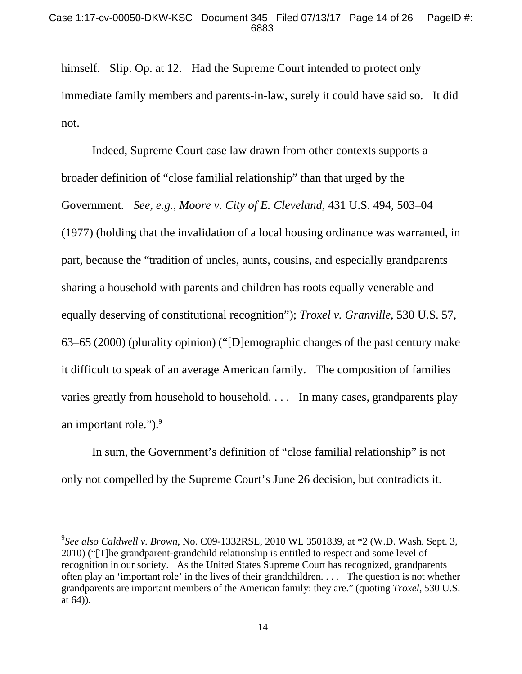himself. Slip. Op. at 12. Had the Supreme Court intended to protect only immediate family members and parents-in-law, surely it could have said so. It did not.

 Indeed, Supreme Court case law drawn from other contexts supports a broader definition of "close familial relationship" than that urged by the Government. *See, e.g.*, *Moore v. City of E. Cleveland*, 431 U.S. 494, 503–04 (1977) (holding that the invalidation of a local housing ordinance was warranted, in part, because the "tradition of uncles, aunts, cousins, and especially grandparents sharing a household with parents and children has roots equally venerable and equally deserving of constitutional recognition"); *Troxel v. Granville*, 530 U.S. 57, 63–65 (2000) (plurality opinion) ("[D]emographic changes of the past century make it difficult to speak of an average American family. The composition of families varies greatly from household to household. . . . In many cases, grandparents play an important role." $)$ .

 In sum, the Government's definition of "close familial relationship" is not only not compelled by the Supreme Court's June 26 decision, but contradicts it.

l

<sup>9</sup> *See also Caldwell v. Brown*, No. C09-1332RSL, 2010 WL 3501839, at \*2 (W.D. Wash. Sept. 3, 2010) ("[T]he grandparent-grandchild relationship is entitled to respect and some level of recognition in our society. As the United States Supreme Court has recognized, grandparents often play an 'important role' in the lives of their grandchildren. . . . The question is not whether grandparents are important members of the American family: they are." (quoting *Troxel*, 530 U.S. at 64)).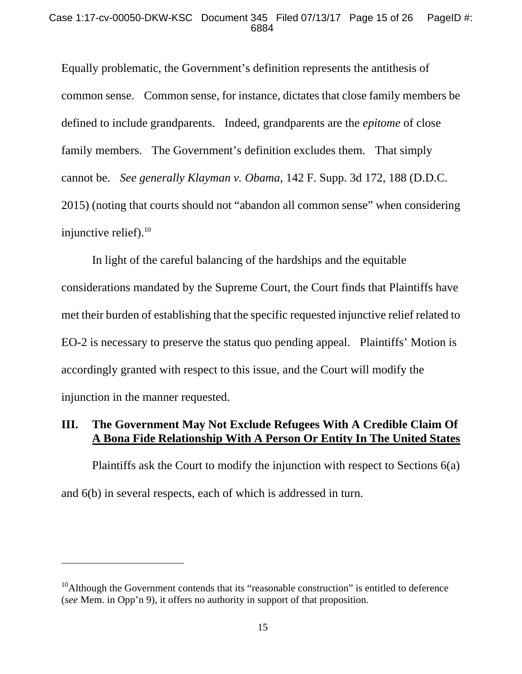#### Case 1:17-cv-00050-DKW-KSC Document 345 Filed 07/13/17 Page 15 of 26 PageID #: 6884

Equally problematic, the Government's definition represents the antithesis of common sense. Common sense, for instance, dictates that close family members be defined to include grandparents. Indeed, grandparents are the *epitome* of close family members. The Government's definition excludes them. That simply cannot be. *See generally Klayman v. Obama*, 142 F. Supp. 3d 172, 188 (D.D.C. 2015) (noting that courts should not "abandon all common sense" when considering injunctive relief). $10$ 

 In light of the careful balancing of the hardships and the equitable considerations mandated by the Supreme Court, the Court finds that Plaintiffs have met their burden of establishing that the specific requested injunctive relief related to EO-2 is necessary to preserve the status quo pending appeal. Plaintiffs' Motion is accordingly granted with respect to this issue, and the Court will modify the injunction in the manner requested.

# **III. The Government May Not Exclude Refugees With A Credible Claim Of A Bona Fide Relationship With A Person Or Entity In The United States**

 Plaintiffs ask the Court to modify the injunction with respect to Sections 6(a) and 6(b) in several respects, each of which is addressed in turn.

 $\overline{a}$ 

 $10$ <sup>10</sup>Although the Government contends that its "reasonable construction" is entitled to deference (*see* Mem. in Opp'n 9), it offers no authority in support of that proposition.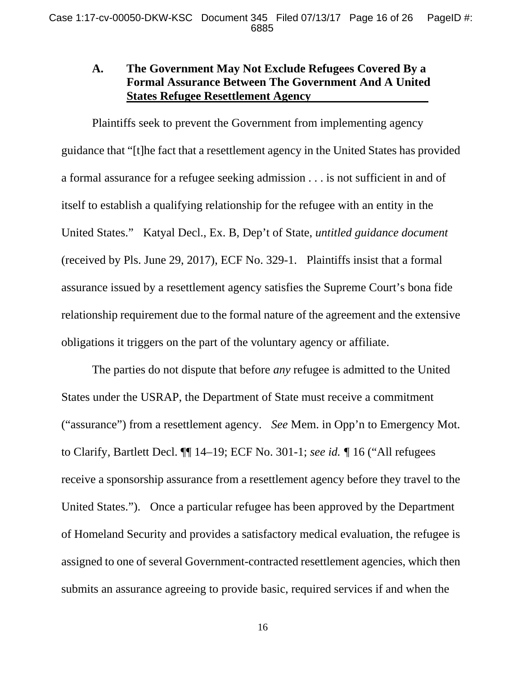# **A. The Government May Not Exclude Refugees Covered By a Formal Assurance Between The Government And A United States Refugee Resettlement Agency**

 Plaintiffs seek to prevent the Government from implementing agency guidance that "[t]he fact that a resettlement agency in the United States has provided a formal assurance for a refugee seeking admission . . . is not sufficient in and of itself to establish a qualifying relationship for the refugee with an entity in the United States." Katyal Decl., Ex. B, Dep't of State, *untitled guidance document* (received by Pls. June 29, 2017), ECF No. 329-1. Plaintiffs insist that a formal assurance issued by a resettlement agency satisfies the Supreme Court's bona fide relationship requirement due to the formal nature of the agreement and the extensive obligations it triggers on the part of the voluntary agency or affiliate.

 The parties do not dispute that before *any* refugee is admitted to the United States under the USRAP, the Department of State must receive a commitment ("assurance") from a resettlement agency. *See* Mem. in Opp'n to Emergency Mot. to Clarify, Bartlett Decl. ¶¶ 14–19; ECF No. 301-1; *see id. ¶* 16 ("All refugees receive a sponsorship assurance from a resettlement agency before they travel to the United States."). Once a particular refugee has been approved by the Department of Homeland Security and provides a satisfactory medical evaluation, the refugee is assigned to one of several Government-contracted resettlement agencies, which then submits an assurance agreeing to provide basic, required services if and when the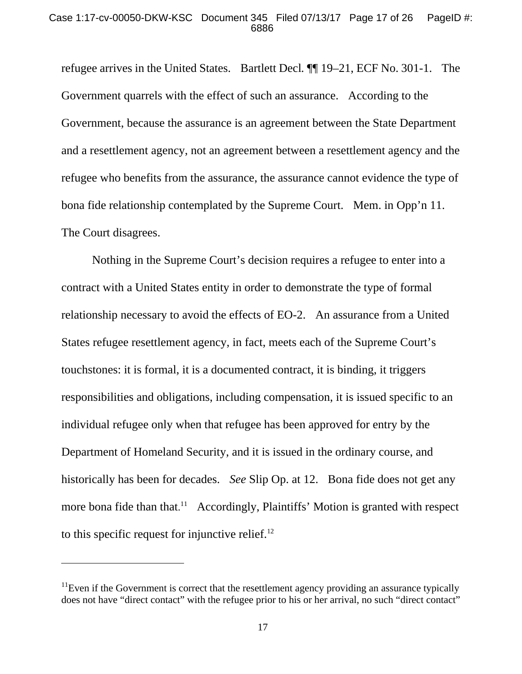refugee arrives in the United States. Bartlett Decl*.* ¶¶ 19–21, ECF No. 301-1. The Government quarrels with the effect of such an assurance. According to the Government, because the assurance is an agreement between the State Department and a resettlement agency, not an agreement between a resettlement agency and the refugee who benefits from the assurance, the assurance cannot evidence the type of bona fide relationship contemplated by the Supreme Court. Mem. in Opp'n 11. The Court disagrees.

 Nothing in the Supreme Court's decision requires a refugee to enter into a contract with a United States entity in order to demonstrate the type of formal relationship necessary to avoid the effects of EO-2. An assurance from a United States refugee resettlement agency, in fact, meets each of the Supreme Court's touchstones: it is formal, it is a documented contract, it is binding, it triggers responsibilities and obligations, including compensation, it is issued specific to an individual refugee only when that refugee has been approved for entry by the Department of Homeland Security, and it is issued in the ordinary course, and historically has been for decades. *See* Slip Op. at 12. Bona fide does not get any more bona fide than that.<sup>11</sup> Accordingly, Plaintiffs' Motion is granted with respect to this specific request for injunctive relief. $^{12}$ 

 $\overline{a}$ 

 $11$ Even if the Government is correct that the resettlement agency providing an assurance typically does not have "direct contact" with the refugee prior to his or her arrival, no such "direct contact"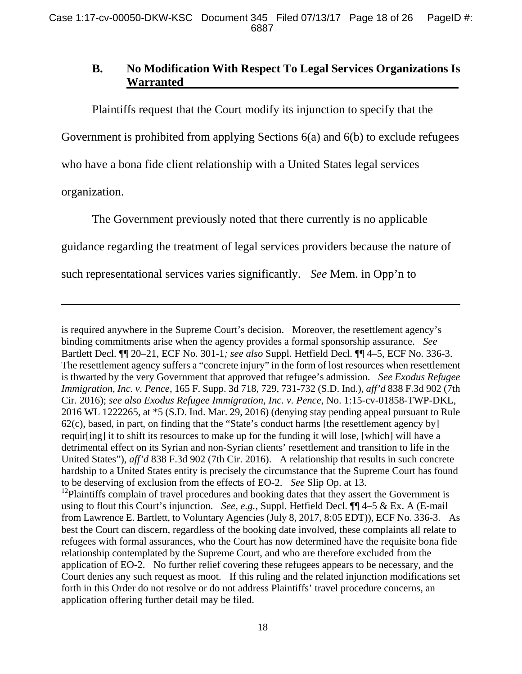# **B. No Modification With Respect To Legal Services Organizations Is Warranted**

 Plaintiffs request that the Court modify its injunction to specify that the Government is prohibited from applying Sections 6(a) and 6(b) to exclude refugees who have a bona fide client relationship with a United States legal services organization.

 The Government previously noted that there currently is no applicable guidance regarding the treatment of legal services providers because the nature of such representational services varies significantly. *See* Mem. in Opp'n to

-

is required anywhere in the Supreme Court's decision. Moreover, the resettlement agency's binding commitments arise when the agency provides a formal sponsorship assurance. *See* Bartlett Decl. ¶¶ 20–21, ECF No. 301-1*; see also* Suppl. Hetfield Decl. ¶¶ 4–5, ECF No. 336-3. The resettlement agency suffers a "concrete injury" in the form of lost resources when resettlement is thwarted by the very Government that approved that refugee's admission. *See Exodus Refugee Immigration, Inc. v. Pence*, 165 F. Supp. 3d 718, 729, 731-732 (S.D. Ind.), *aff'd* 838 F.3d 902 (7th Cir. 2016); *see also Exodus Refugee Immigration, Inc. v. Pence*, No. 1:15-cv-01858-TWP-DKL, 2016 WL 1222265, at \*5 (S.D. Ind. Mar. 29, 2016) (denying stay pending appeal pursuant to Rule 62(c), based, in part, on finding that the "State's conduct harms [the resettlement agency by] requir[ing] it to shift its resources to make up for the funding it will lose, [which] will have a detrimental effect on its Syrian and non-Syrian clients' resettlement and transition to life in the United States"), *aff'd* 838 F.3d 902 (7th Cir. 2016). A relationship that results in such concrete hardship to a United States entity is precisely the circumstance that the Supreme Court has found to be deserving of exclusion from the effects of EO-2. *See* Slip Op. at 13.

 $12$ Plaintiffs complain of travel procedures and booking dates that they assert the Government is using to flout this Court's injunction. *See, e.g.*, Suppl. Hetfield Decl. ¶¶ 4–5 & Ex. A (E-mail from Lawrence E. Bartlett, to Voluntary Agencies (July 8, 2017, 8:05 EDT)), ECF No. 336-3. As best the Court can discern, regardless of the booking date involved, these complaints all relate to refugees with formal assurances, who the Court has now determined have the requisite bona fide relationship contemplated by the Supreme Court, and who are therefore excluded from the application of EO-2. No further relief covering these refugees appears to be necessary, and the Court denies any such request as moot. If this ruling and the related injunction modifications set forth in this Order do not resolve or do not address Plaintiffs' travel procedure concerns, an application offering further detail may be filed.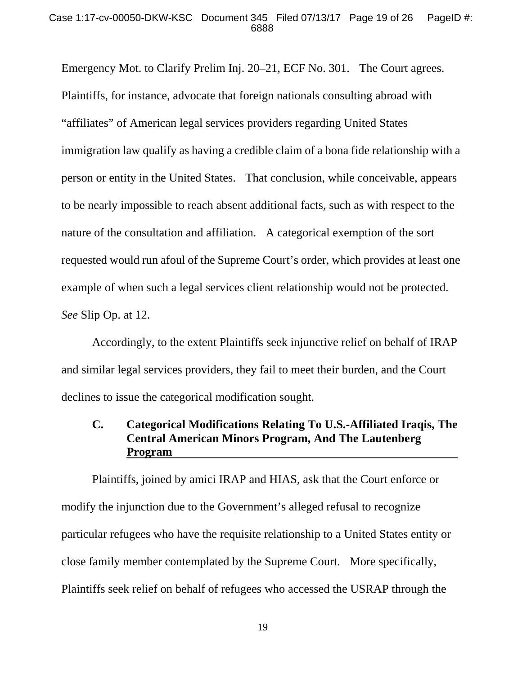#### Case 1:17-cv-00050-DKW-KSC Document 345 Filed 07/13/17 Page 19 of 26 PageID #: 6888

Emergency Mot. to Clarify Prelim Inj. 20–21, ECF No. 301. The Court agrees. Plaintiffs, for instance, advocate that foreign nationals consulting abroad with "affiliates" of American legal services providers regarding United States immigration law qualify as having a credible claim of a bona fide relationship with a person or entity in the United States. That conclusion, while conceivable, appears to be nearly impossible to reach absent additional facts, such as with respect to the nature of the consultation and affiliation. A categorical exemption of the sort requested would run afoul of the Supreme Court's order, which provides at least one example of when such a legal services client relationship would not be protected. *See* Slip Op. at 12.

 Accordingly, to the extent Plaintiffs seek injunctive relief on behalf of IRAP and similar legal services providers, they fail to meet their burden, and the Court declines to issue the categorical modification sought.

# **C. Categorical Modifications Relating To U.S.-Affiliated Iraqis, The Central American Minors Program, And The Lautenberg Program**

 Plaintiffs, joined by amici IRAP and HIAS, ask that the Court enforce or modify the injunction due to the Government's alleged refusal to recognize particular refugees who have the requisite relationship to a United States entity or close family member contemplated by the Supreme Court. More specifically, Plaintiffs seek relief on behalf of refugees who accessed the USRAP through the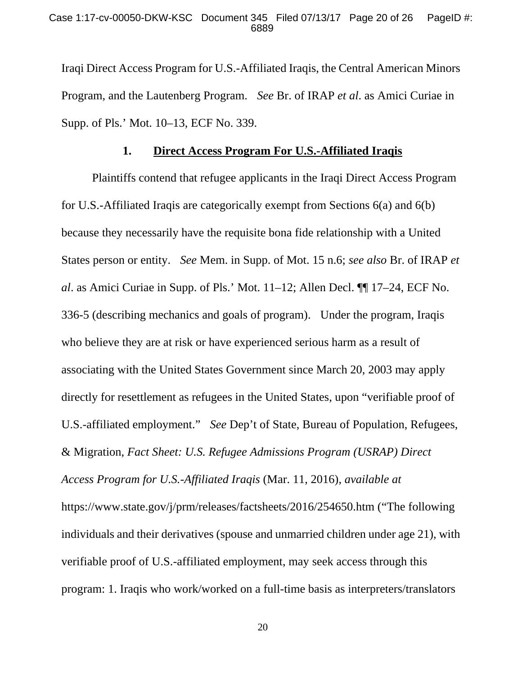Iraqi Direct Access Program for U.S.-Affiliated Iraqis, the Central American Minors Program, and the Lautenberg Program. *See* Br. of IRAP *et al*. as Amici Curiae in Supp. of Pls.' Mot. 10–13, ECF No. 339.

### **1. Direct Access Program For U.S.-Affiliated Iraqis**

 Plaintiffs contend that refugee applicants in the Iraqi Direct Access Program for U.S.-Affiliated Iraqis are categorically exempt from Sections 6(a) and 6(b) because they necessarily have the requisite bona fide relationship with a United States person or entity. *See* Mem. in Supp. of Mot. 15 n.6; *see also* Br. of IRAP *et al*. as Amici Curiae in Supp. of Pls.' Mot. 11–12; Allen Decl. ¶¶ 17–24, ECF No. 336-5 (describing mechanics and goals of program). Under the program, Iraqis who believe they are at risk or have experienced serious harm as a result of associating with the United States Government since March 20, 2003 may apply directly for resettlement as refugees in the United States, upon "verifiable proof of U.S.-affiliated employment." *See* Dep't of State, Bureau of Population, Refugees, & Migration, *Fact Sheet: U.S. Refugee Admissions Program (USRAP) Direct Access Program for U.S.-Affiliated Iraqis* (Mar. 11, 2016), *available at* https://www.state.gov/j/prm/releases/factsheets/2016/254650.htm ("The following individuals and their derivatives (spouse and unmarried children under age 21), with verifiable proof of U.S.-affiliated employment, may seek access through this program: 1. Iraqis who work/worked on a full-time basis as interpreters/translators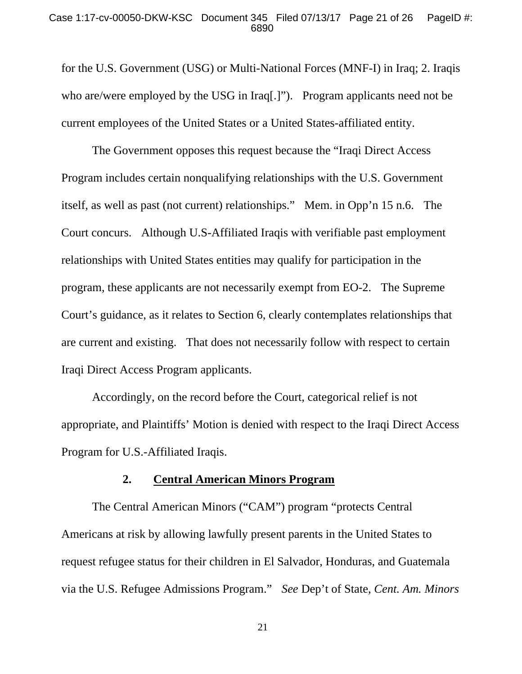#### Case 1:17-cv-00050-DKW-KSC Document 345 Filed 07/13/17 Page 21 of 26 PageID #: 6890

for the U.S. Government (USG) or Multi-National Forces (MNF-I) in Iraq; 2. Iraqis who are/were employed by the USG in Iraq[.]"). Program applicants need not be current employees of the United States or a United States-affiliated entity.

 The Government opposes this request because the "Iraqi Direct Access Program includes certain nonqualifying relationships with the U.S. Government itself, as well as past (not current) relationships." Mem. in Opp'n 15 n.6. The Court concurs. Although U.S-Affiliated Iraqis with verifiable past employment relationships with United States entities may qualify for participation in the program, these applicants are not necessarily exempt from EO-2. The Supreme Court's guidance, as it relates to Section 6, clearly contemplates relationships that are current and existing. That does not necessarily follow with respect to certain Iraqi Direct Access Program applicants.

 Accordingly, on the record before the Court, categorical relief is not appropriate, and Plaintiffs' Motion is denied with respect to the Iraqi Direct Access Program for U.S.-Affiliated Iraqis.

## **2. Central American Minors Program**

 The Central American Minors ("CAM") program "protects Central Americans at risk by allowing lawfully present parents in the United States to request refugee status for their children in El Salvador, Honduras, and Guatemala via the U.S. Refugee Admissions Program." *See* Dep't of State, *Cent. Am. Minors* 

21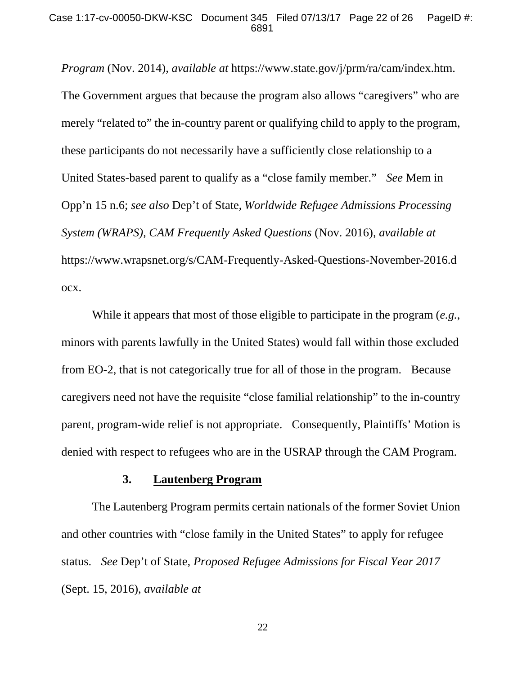*Program* (Nov. 2014), *available at* https://www.state.gov/j/prm/ra/cam/index.htm. The Government argues that because the program also allows "caregivers" who are merely "related to" the in-country parent or qualifying child to apply to the program, these participants do not necessarily have a sufficiently close relationship to a United States-based parent to qualify as a "close family member." *See* Mem in Opp'n 15 n.6; *see also* Dep't of State, *Worldwide Refugee Admissions Processing System (WRAPS), CAM Frequently Asked Questions* (Nov. 2016), *available at* https://www.wrapsnet.org/s/CAM-Frequently-Asked-Questions-November-2016.d ocx.

 While it appears that most of those eligible to participate in the program (*e.g.*, minors with parents lawfully in the United States) would fall within those excluded from EO-2, that is not categorically true for all of those in the program. Because caregivers need not have the requisite "close familial relationship" to the in-country parent, program-wide relief is not appropriate. Consequently, Plaintiffs' Motion is denied with respect to refugees who are in the USRAP through the CAM Program.

#### **3. Lautenberg Program**

 The Lautenberg Program permits certain nationals of the former Soviet Union and other countries with "close family in the United States" to apply for refugee status. *See* Dep't of State, *Proposed Refugee Admissions for Fiscal Year 2017* (Sept. 15, 2016), *available at*

22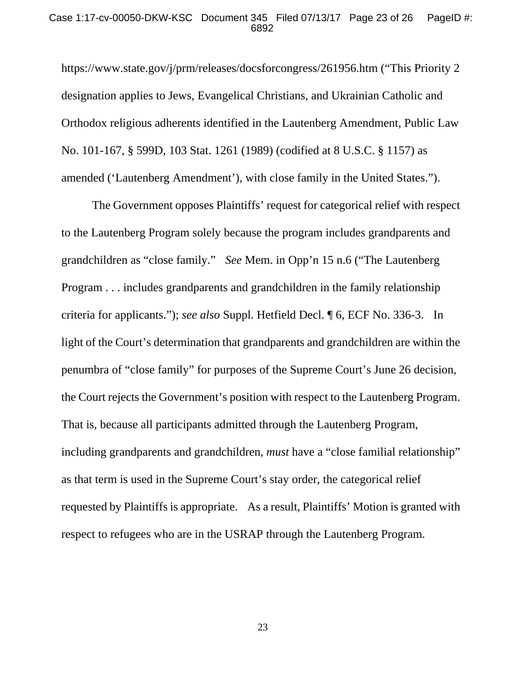#### Case 1:17-cv-00050-DKW-KSC Document 345 Filed 07/13/17 Page 23 of 26 PageID #: 6892

https://www.state.gov/j/prm/releases/docsforcongress/261956.htm ("This Priority 2 designation applies to Jews, Evangelical Christians, and Ukrainian Catholic and Orthodox religious adherents identified in the Lautenberg Amendment, Public Law No. 101-167, § 599D, 103 Stat. 1261 (1989) (codified at 8 U.S.C. § 1157) as amended ('Lautenberg Amendment'), with close family in the United States.").

 The Government opposes Plaintiffs' request for categorical relief with respect to the Lautenberg Program solely because the program includes grandparents and grandchildren as "close family." *See* Mem. in Opp'n 15 n.6 ("The Lautenberg Program . . . includes grandparents and grandchildren in the family relationship criteria for applicants."); *see also* Suppl. Hetfield Decl. ¶ 6, ECF No. 336-3. In light of the Court's determination that grandparents and grandchildren are within the penumbra of "close family" for purposes of the Supreme Court's June 26 decision, the Court rejects the Government's position with respect to the Lautenberg Program. That is, because all participants admitted through the Lautenberg Program, including grandparents and grandchildren, *must* have a "close familial relationship" as that term is used in the Supreme Court's stay order, the categorical relief requested by Plaintiffs is appropriate. As a result, Plaintiffs' Motion is granted with respect to refugees who are in the USRAP through the Lautenberg Program.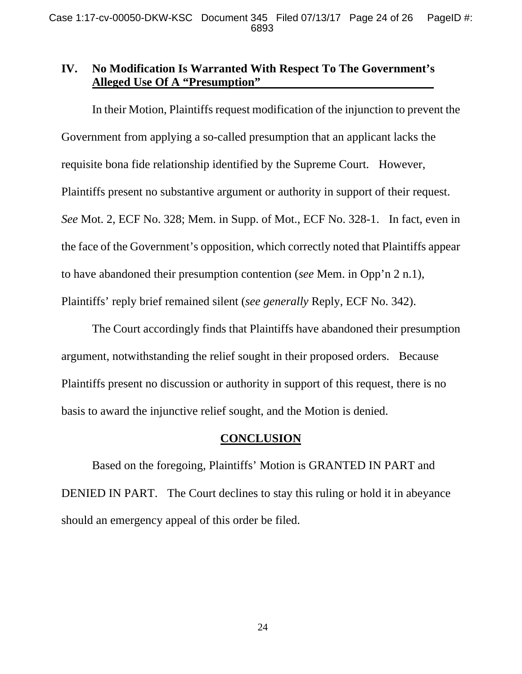# **IV. No Modification Is Warranted With Respect To The Government's Alleged Use Of A "Presumption"**

 In their Motion, Plaintiffs request modification of the injunction to prevent the Government from applying a so-called presumption that an applicant lacks the requisite bona fide relationship identified by the Supreme Court. However, Plaintiffs present no substantive argument or authority in support of their request. *See* Mot. 2, ECF No. 328; Mem. in Supp. of Mot., ECF No. 328-1. In fact, even in the face of the Government's opposition, which correctly noted that Plaintiffs appear to have abandoned their presumption contention (*see* Mem. in Opp'n 2 n.1), Plaintiffs' reply brief remained silent (*see generally* Reply, ECF No. 342).

 The Court accordingly finds that Plaintiffs have abandoned their presumption argument, notwithstanding the relief sought in their proposed orders. Because Plaintiffs present no discussion or authority in support of this request, there is no basis to award the injunctive relief sought, and the Motion is denied.

## **CONCLUSION**

 Based on the foregoing, Plaintiffs' Motion is GRANTED IN PART and DENIED IN PART. The Court declines to stay this ruling or hold it in abeyance should an emergency appeal of this order be filed.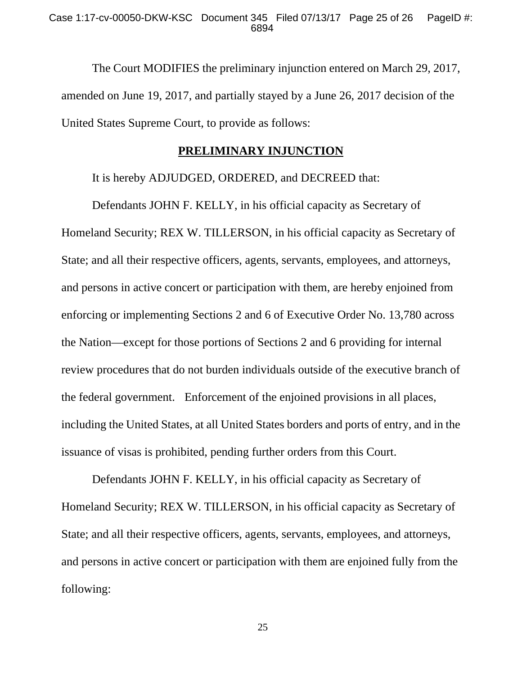#### Case 1:17-cv-00050-DKW-KSC Document 345 Filed 07/13/17 Page 25 of 26 PageID #: 6894

 The Court MODIFIES the preliminary injunction entered on March 29, 2017, amended on June 19, 2017, and partially stayed by a June 26, 2017 decision of the United States Supreme Court, to provide as follows:

### **PRELIMINARY INJUNCTION**

It is hereby ADJUDGED, ORDERED, and DECREED that:

 Defendants JOHN F. KELLY, in his official capacity as Secretary of Homeland Security; REX W. TILLERSON, in his official capacity as Secretary of State; and all their respective officers, agents, servants, employees, and attorneys, and persons in active concert or participation with them, are hereby enjoined from enforcing or implementing Sections 2 and 6 of Executive Order No. 13,780 across the Nation—except for those portions of Sections 2 and 6 providing for internal review procedures that do not burden individuals outside of the executive branch of the federal government. Enforcement of the enjoined provisions in all places, including the United States, at all United States borders and ports of entry, and in the issuance of visas is prohibited, pending further orders from this Court.

 Defendants JOHN F. KELLY, in his official capacity as Secretary of Homeland Security; REX W. TILLERSON, in his official capacity as Secretary of State; and all their respective officers, agents, servants, employees, and attorneys, and persons in active concert or participation with them are enjoined fully from the following:

25